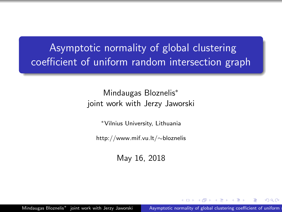## <span id="page-0-0"></span>Asymptotic normality of global clustering coefficient of uniform random intersection graph

#### Mindaugas Bloznelis<sup>∗</sup> joint work with Jerzy Jaworski

<sup>∗</sup>Vilnius University, Lithuania

http://www.mif.vu.lt/∼bloznelis

May 16, 2018

Mindaugas Bloznelis<sup>\*</sup> joint work with Jerzy Jaworski Asymptotic normality of global clustering coefficient of uniform

つくい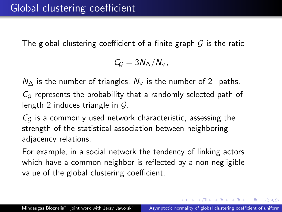The global clustering coefficient of a finite graph  $G$  is the ratio

 $C_G = 3N_{\Delta}/N_{\vee}$ 

 $N_{\Delta}$  is the number of triangles,  $N_{\Delta}$  is the number of 2−paths.

 $C_G$  represents the probability that a randomly selected path of length 2 induces triangle in  $\mathcal{G}$ .

 $C_G$  is a commonly used network characteristic, assessing the strength of the statistical association between neighboring adjacency relations.

For example, in a social network the tendency of linking actors which have a common neighbor is reflected by a non-negligible value of the global clustering coefficient.

KED KAD KED KED E LAGA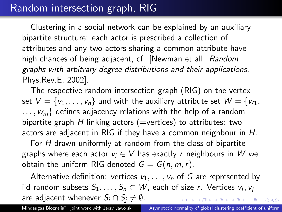### Random intersection graph, RIG

Clustering in a social network can be explained by an auxiliary bipartite structure: each actor is prescribed a collection of attributes and any two actors sharing a common attribute have high chances of being adjacent, cf. [Newman et all. Random graphs with arbitrary degree distributions and their applications. Phys.Rev.E, 2002].

The respective random intersection graph (RIG) on the vertex set  $V = \{v_1, \ldots, v_n\}$  and with the auxiliary attribute set  $W = \{w_1,$  $..., w_m$  defines adjacency relations with the help of a random bipartite graph H linking actors (=vertices) to attributes: two actors are adjacent in RIG if they have a common neighbour in H.

For H drawn uniformly at random from the class of bipartite graphs where each actor  $v_i \in V$  has exactly r neighbours in W we obtain the uniform RIG denoted  $G = G(n, m, r)$ .

Alternative definition: vertices  $v_1, \ldots, v_n$  of G are represented by iid random subsets  $S_1,\ldots,S_n\subset W$ , each of size  $r.$  Vertices  $v_i,v_j$ are adjacent whenever  $S_i \cap S_i \neq \emptyset$ . **Single**  $QQ$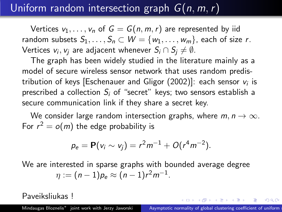# Uniform random intersection graph  $G(n, m, r)$

Vertices  $v_1, \ldots, v_n$  of  $G = G(n, m, r)$  are represented by iid random subsets  $S_1, \ldots, S_n \subset W = \{w_1, \ldots, w_m\}$ , each of size r. Vertices  $\mathsf{v}_i,\mathsf{v}_j$  are adjacent whenever  $\mathsf{S}_i\cap\mathsf{S}_j\neq\emptyset.$ 

The graph has been widely studied in the literature mainly as a model of secure wireless sensor network that uses random predistribution of keys [Eschenauer and Gligor (2002)]: each sensor  $v_i$  is prescribed a collection  $S_i$  of "secret" keys; two sensors establish a secure communication link if they share a secret key.

We consider large random intersection graphs, where  $m, n \rightarrow \infty$ . For  $r^2 = o(m)$  the edge probability is

$$
p_e = \mathbf{P}(v_i \sim v_j) = r^2 m^{-1} + O(r^4 m^{-2}).
$$

We are interested in sparse graphs with bounded average degree  $\eta := (n-1)p_e \approx (n-1)r^2m^{-1}.$ 

Paveiksliukas !

 $\mathbf{E} = \mathbf{A} \oplus \mathbf{A} + \mathbf{A} \oplus \mathbf{A} + \mathbf{A} \oplus \mathbf{A} + \mathbf{A} \oplus \mathbf{A} + \mathbf{A} \oplus \mathbf{A} + \mathbf{A} \oplus \mathbf{A} + \mathbf{A} \oplus \mathbf{A} + \mathbf{A} \oplus \mathbf{A} + \mathbf{A} \oplus \mathbf{A} + \mathbf{A} \oplus \mathbf{A} + \mathbf{A} \oplus \mathbf{A} + \mathbf{A} \oplus \mathbf{A} + \mathbf{A} \oplus \mathbf{A} + \mathbf{A$ 

 $\Omega$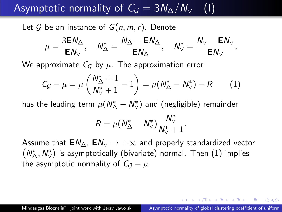<span id="page-4-0"></span>Asymptotic normality of  $C_G = 3N_{\Delta}/N_{\vee}$  (1)

Let  $G$  be an instance of  $G(n, m, r)$ . Denote

$$
\mu = \frac{3 \text{E} N_\Delta}{\text{E} N_\vee}, \quad N_\Delta^* = \frac{N_\Delta - \text{E} N_\Delta}{\text{E} N_\Delta}, \quad N_\vee^* = \frac{N_\vee - \text{E} N_\vee}{\text{E} N_\vee}.
$$

We approximate  $C_G$  by  $\mu$ . The approximation error

$$
C_{\mathcal{G}} - \mu = \mu \left( \frac{N_{\Delta}^* + 1}{N_{\vee}^* + 1} - 1 \right) = \mu (N_{\Delta}^* - N_{\vee}^*) - R \qquad (1)
$$

has the leading term  $\mu (\mathcal{N}^*_\Delta - \mathcal{N}^*_\vee)$  and (negligible) remainder

$$
R=\mu(N^*_{\Delta}-N^*_{\vee})\frac{N^*_{\vee}}{N^*_{\vee}+1}.
$$

Assume that  $EM_{\Lambda}$ ,  $EM_{\vee} \rightarrow +\infty$  and properly standardized vector  $(N_\Delta^*,N_\vee^*)$  is asymptotically (bivariate) normal. Then  $(1)$  implies the asymptotic normality of  $C_G - \mu$ .

 $\eta$ an

知ら マミトマ ミトリ ミ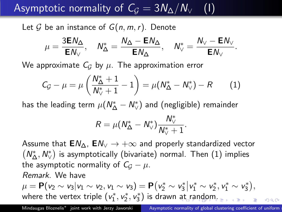<span id="page-5-0"></span>Asymptotic normality of  $C_G = 3N_{\Delta}/N_{\vee}$  (1)

Let G be an instance of  $G(n, m, r)$ . Denote

$$
\mu = \frac{3 \text{E} N_\Delta}{\text{E} N_\vee}, \quad N_\Delta^* = \frac{N_\Delta - \text{E} N_\Delta}{\text{E} N_\Delta}, \quad N_\vee^* = \frac{N_\vee - \text{E} N_\vee}{\text{E} N_\vee}.
$$

We approximate  $C_G$  by  $\mu$ . The approximation error

$$
C_{\mathcal{G}} - \mu = \mu \left( \frac{N_{\Delta}^* + 1}{N_{\vee}^* + 1} - 1 \right) = \mu (N_{\Delta}^* - N_{\vee}^*) - R \qquad (1)
$$

has the leading term  $\mu (\mathcal{N}^*_\Delta - \mathcal{N}^*_\vee)$  and (negligible) remainder

$$
R=\mu(N^*_{\Delta}-N^*_{\vee})\frac{N^*_{\vee}}{N^*_{\vee}+1}.
$$

Assume that  $EM_{\Lambda}$ ,  $EM_{\vee} \rightarrow +\infty$  and properly standardized vector  $(N_\Delta^*,N_\vee^*)$  is asymptotically (bivariate) normal. Then  $(1)$  implies the asymptotic normality of  $C_G - \mu$ . Remark. We have  $\mu = \mathbf{P}(v_2 \sim v_3 | v_1 \sim v_2, v_1 \sim v_3) = \mathbf{P}(v_2^* \sim v_3^* | v_1^* \sim v_2^*, v_1^* \sim v_3^*),$ where the vertex triple  $(v_1^*, v_2^*, v_3^*)$  is drawn [at](#page-4-0) [ra](#page-6-0)[n](#page-4-0)[do](#page-5-0)[m](#page-6-0)[.](#page-0-0)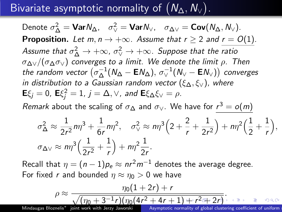<span id="page-6-0"></span>Bivariate asymptotic normality of  $(\sf{N}_\Delta,N_\vee)$  .

Denote  $\sigma_{\Delta}^2 = \text{Var} N_{\Delta}$ ,  $\sigma_{\vee}^2 = \text{Var} N_{\vee}$ ,  $\sigma_{\Delta \vee} = \text{Cov}(N_{\Delta}, N_{\vee})$ . **Proposition.** Let  $m, n \rightarrow +\infty$ . Assume that  $r \ge 2$  and  $r = O(1)$ . Assume that  $\sigma_{\Delta}^2 \rightarrow +\infty$ ,  $\sigma_{\lor}^2 \rightarrow +\infty$ . Suppose that the ratio  $\sigma_{\Delta} \sqrt{(\sigma_{\Delta} \sigma_{\Delta})}$  converges to a limit. We denote the limit  $\rho$ . Then the random vector  $\big(\sigma_{\Delta}^{-1}(N_{\Delta}-\mathsf{E} N_{\Delta}),\,\sigma_{\vee}^{-1}(N_{\vee}-\mathsf{E} N_{\vee})\big)$  converges in distribution to a Gaussian random vector ( $\xi_{\Delta}, \xi_{\vee}$ ), where  $\mathsf{E} \xi_j = 0$ ,  $\mathsf{E} \xi_j^2 = 1$ ,  $j = \Delta, \vee$ , and  $\mathsf{E} \xi_\Delta \xi_\vee = \rho$ .

*Remark* about the scaling of  $\sigma_{\Delta}$  and  $\sigma_{\vee}$ . We have for  $r^3 = o(m)$ 

$$
\sigma_{\Delta}^2 \approx \frac{1}{2r^2} m \eta^3 + \frac{1}{6r} m \eta^2, \quad \sigma_{\vee}^2 \approx n \eta^3 \left( 2 + \frac{2}{r} + \frac{1}{2r^2} \right) + n \eta^2 \left( \frac{1}{2} + \frac{1}{r} \right),
$$
  

$$
\sigma_{\Delta\vee} \approx n \eta^3 \left( \frac{1}{2r^2} + \frac{1}{r} \right) + n \eta^2 \frac{1}{2r}.
$$

Recall that  $\eta = (n-1)p_e \approx nr^2m^{-1}$  denotes the average degree. For fixed r and bounded  $\eta \approx \eta_0 > 0$  we have

$$
\rho \approx \frac{\eta_0(1+2r)+r}{\sqrt{(\eta_0+3^{-1}r)(\eta_0(4r^2+4r+1)+r^2r+2r)}}.
$$
\nMindaugas Bloznelis\* joint work with Jerzy Jaworski

\nAsymptotic normality of global clustering coefficient of uniform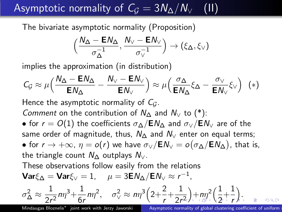<span id="page-7-0"></span>Asymptotic normality of  $C_G = 3N_{\Delta}/N_{\sqrt{2}}$  (II)

The bivariate asymptotic normality (Proposition)

$$
\Big(\frac{N_{\Delta} - \text{EN}_{\Delta}}{\sigma_{\Delta}^{-1}}, \frac{N_{\vee} - \text{EN}_{\vee}}{\sigma_{\vee}^{-1}}\Big) \to (\xi_{\Delta}, \xi_{\vee})
$$

implies the approximation (in distribution)

$$
C_G \approx \mu \Big( \frac{N_{\Delta} - \mathbf{E} N_{\Delta}}{\mathbf{E} N_{\Delta}} - \frac{N_{\vee} - \mathbf{E} N_{\vee}}{\mathbf{E} N_{\vee}} \Big) \approx \mu \Big( \frac{\sigma_{\Delta}}{\mathbf{E} N_{\Delta}} \xi_{\Delta} - \frac{\sigma_{\vee}}{\mathbf{E} N_{\vee}} \xi_{\vee} \Big) \tag{*}
$$

Hence the asymptotic normality of  $C_G$ .

Comment on the contribution of  $N_\Lambda$  and  $N_\nu$  to (\*):

• for  $r = O(1)$  the coefficients  $\sigma_{\Lambda}/EN_{\Lambda}$  and  $\sigma_{\rm V}/EN_{\rm V}$  are of the same order of magnitude, thus,  $N_\Lambda$  and  $N_\nu$  enter on equal terms;  $\bullet$  for  $r\to +\infty$ ,  $\eta=o(r)$  we have  $\sigma_\vee /{\sf E}{\sf \;N}_\vee=o\bigl(\sigma_\Delta /{\sf E}{\sf \;N}_\Delta\bigr)$ , that is,

the triangle count  $N_{\Lambda}$  outplays  $N_{\Lambda}$ .

These observations follow easily from the relations  $\mathsf{Var} \xi_\Delta = \mathsf{Var} \xi_\vee = 1, \quad \mu = 3 \mathsf{E} N_\Delta / \mathsf{E} N_\vee \approx r^{-1},$ 

$$
\sigma_\Delta^2 \approx \frac{1}{2r^2} m \eta^3 + \frac{1}{6r} m \eta^2, \quad \sigma_\vee^2 \approx m \eta^3 \left( 2 + \frac{2}{r} + \frac{1}{2r^2} \right) + m \eta^2 \left( \frac{1}{2} + \frac{1}{r} \right), \quad \text{as} \quad \text{and} \quad \text{and} \quad \text{and} \quad \text{and} \quad \text{and} \quad \text{and} \quad \text{and} \quad \text{and} \quad \text{and} \quad \text{and} \quad \text{and} \quad \text{and} \quad \text{and} \quad \text{and} \quad \text{and} \quad \text{and} \quad \text{and} \quad \text{and} \quad \text{and} \quad \text{and} \quad \text{and} \quad \text{and} \quad \text{and} \quad \text{and} \quad \text{and} \quad \text{and} \quad \text{and} \quad \text{and} \quad \text{and} \quad \text{and} \quad \text{and} \quad \text{and} \quad \text{and} \quad \text{and} \quad \text{and} \quad \text{and} \quad \text{and} \quad \text{and} \quad \text{and} \quad \text{and} \quad \text{and} \quad \text{and} \quad \text{and} \quad \text{and} \quad \text{and} \quad \text{and} \quad \text{and} \quad \text{and} \quad \text{and} \quad \text{and} \quad \text{and} \quad \text{and} \quad \text{and} \quad \text{and} \quad \text{and} \quad \text{and} \quad \text{and} \quad \text{and} \quad \text{and} \quad \text{and} \quad \text{and} \quad \text{and} \quad \text{and} \quad \text{and} \quad \text{and} \quad \text{and} \quad \text{and} \quad \text{and} \quad \text{and} \quad \text{and} \quad \text{and} \quad \text{and} \quad \text{and} \quad \text{and} \quad \text{and} \quad \text{and} \quad \text{and} \quad \text{and} \quad \text{and} \quad \text{and} \quad \text{and} \quad \text{and} \quad \text{and} \quad \text{and} \quad \text{and} \quad \text{and} \quad \text{and} \quad \text{and} \quad \text{and} \quad \text{and} \quad \text{and} \quad \text{and} \
$$

Mindaugas Bloznelis<sup>\*</sup> joint work with Jerzy Jaworski

Asymptotic normality of global clustering coefficient of uniform